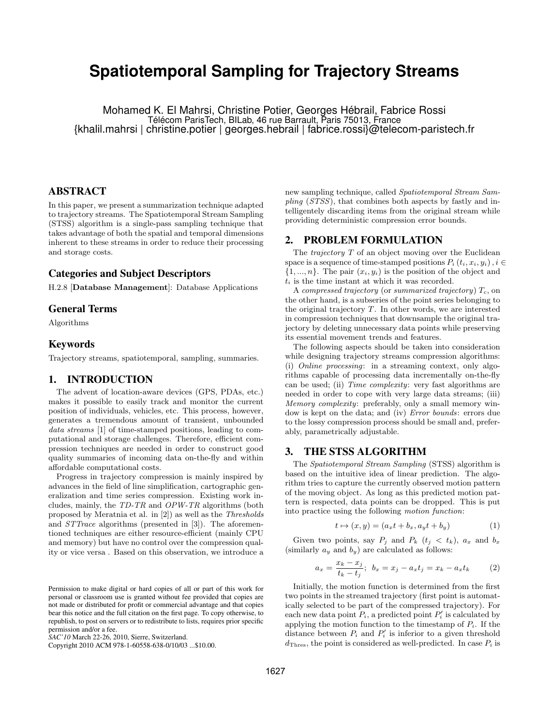# **Spatiotemporal Sampling for Trajectory Streams**

Mohamed K. El Mahrsi, Christine Potier, Georges Hébrail, Fabrice Rossi Télécom ParisTech, BILab, 46 rue Barrault, Paris 75013, France {khalil.mahrsi | christine.potier | georges.hebrail | fabrice.rossi}@telecom-paristech.fr

# ABSTRACT

In this paper, we present a summarization technique adapted to trajectory streams. The Spatiotemporal Stream Sampling (STSS) algorithm is a single-pass sampling technique that takes advantage of both the spatial and temporal dimensions inherent to these streams in order to reduce their processing and storage costs.

## Categories and Subject Descriptors

H.2.8 [**Database Management**]: Database Applications

#### General Terms

Algorithms

# Keywords

Trajectory streams, spatiotemporal, sampling, summaries.

# 1. INTRODUCTION

The advent of location-aware devices (GPS, PDAs, etc.) makes it possible to easily track and monitor the current position of individuals, vehicles, etc. This process, however, generates a tremendous amount of transient, unbounded *data streams* [1] of time-stamped positions, leading to computational and storage challenges. Therefore, efficient compression techniques are needed in order to construct good quality summaries of incoming data on-the-fly and within affordable computational costs.

Progress in trajectory compression is mainly inspired by advances in the field of line simplification, cartographic generalization and time series compression. Existing work includes, mainly, the *TD-TR* and *OPW-TR* algorithms (both proposed by Meratnia et al. in [2]) as well as the *Thresholds* and *STTrace* algorithms (presented in [3]). The aforementioned techniques are either resource-efficient (mainly CPU and memory) but have no control over the compression quality or vice versa . Based on this observation, we introduce a

Copyright 2010 ACM 978-1-60558-638-0/10/03 ...\$10.00.

new sampling technique, called *Spatiotemporal Stream Sampling* (*STSS*), that combines both aspects by fastly and intelligentely discarding items from the original stream while providing deterministic compression error bounds.

## 2. PROBLEM FORMULATION

The *trajectory T* of an object moving over the Euclidean space is a sequence of time-stamped positions  $P_i(t_i, x_i, y_i)$ ,  $i \in$  $\{1, \ldots, n\}$ . The pair  $(x_i, y_i)$  is the position of the object and *t<sup>i</sup>* is the time instant at which it was recorded.

A *compressed trajectory* (or *summarized trajectory*) *Tc*, on the other hand, is a subseries of the point series belonging to the original trajectory *T*. In other words, we are interested in compression techniques that downsample the original trajectory by deleting unnecessary data points while preserving its essential movement trends and features.

The following aspects should be taken into consideration while designing trajectory streams compression algorithms: (i) *Online processing*: in a streaming context, only algorithms capable of processing data incrementally on-the-fly can be used; (ii) *Time complexity*: very fast algorithms are needed in order to cope with very large data streams; (iii) *Memory complexity*: preferably, only a small memory window is kept on the data; and (iv) *Error bounds*: errors due to the lossy compression process should be small and, preferably, parametrically adjustable.

# 3. THE STSS ALGORITHM

The *Spatiotemporal Stream Sampling* (STSS) algorithm is based on the intuitive idea of linear prediction. The algorithm tries to capture the currently observed motion pattern of the moving object. As long as this predicted motion pattern is respected, data points can be dropped. This is put into practice using the following *motion function*:

$$
t \mapsto (x, y) = (a_x t + b_x, a_y t + b_y)
$$
 (1)

Given two points, say  $P_j$  and  $P_k$  ( $t_j < t_k$ ),  $a_x$  and  $b_x$ (similarly  $a_y$  and  $b_y$ ) are calculated as follows:

$$
a_x = \frac{x_k - x_j}{t_k - t_j}; \ b_x = x_j - a_x t_j = x_k - a_x t_k \tag{2}
$$

Initially, the motion function is determined from the first two points in the streamed trajectory (first point is automatically selected to be part of the compressed trajectory). For each new data point  $P_i$ , a predicted point  $P'_i$  is calculated by applying the motion function to the timestamp of  $P_i$ . If the distance between  $P_i$  and  $P'_i$  is inferior to a given threshold  $d_{\text{Thres}}$ , the point is considered as well-predicted. In case  $P_i$  is

Permission to make digital or hard copies of all or part of this work for personal or classroom use is granted without fee provided that copies are not made or distributed for profit or commercial advantage and that copies bear this notice and the full citation on the first page. To copy otherwise, to republish, to post on servers or to redistribute to lists, requires prior specific permission and/or a fee.

*SAC'10* March 22-26, 2010, Sierre, Switzerland.